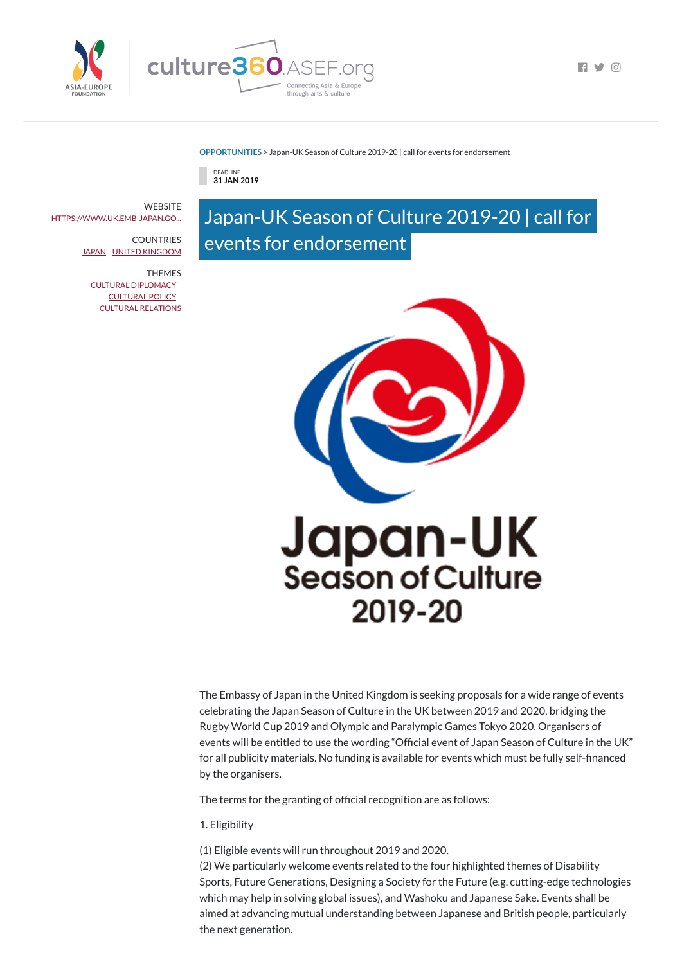

 $\blacksquare$ 

**[OPPORTUNITIES](https://culture360.asef.org/opportunities/)** > Japan-UK Season of Culture 2019-20 | call for events for endorsement

DEADLINE **31 JAN 2019**

# Japan-UK Season of Culture 2019-20 | call for events for endorsement



The Embassy of Japan in the United Kingdom is seeking proposals for a wide range of events celebrating the Japan Season of Culture in the UK between 2019 and 2020, bridging the Rugby World Cup 2019 and Olympic and Paralympic Games Tokyo 2020. Organisers of events will be entitled to use the wording "Official event of Japan Season of Culture in the UK" for all publicity materials. No funding is available for events which must be fully self-nanced by the organisers.

The terms for the granting of official recognition are as follows:

**WEBSITE** [HTTPS://WWW.UK.EMB-JAPAN.GO...](https://www.uk.emb-japan.go.jp/SeasonCulture/index.html)

> **COUNTRIES** [JAPAN](https://culture360.asef.org/countries/japan/) UNITED [KINGDOM](https://culture360.asef.org/countries/united-kingdom/)

> > 1. Eligibility

(1) Eligible events will run throughout 2019 and 2020. (2) We particularly welcome events related to the four highlighted themes of Disability Sports, Future Generations, Designing a Society for the Future (e.g. cutting-edge technologies which may help in solving global issues), and Washoku and Japanese Sake. Events shall be aimed at advancing mutual understanding between Japanese and British people, particularly the next generation.

THEMES CULTURAL [DIPLOMACY](https://culture360.asef.org/themes/cultural-diplomacy/) [CULTURAL](https://culture360.asef.org/themes/cultural-policy/) POLICY CULTURAL [RELATIONS](https://culture360.asef.org/themes/cultural-relations/)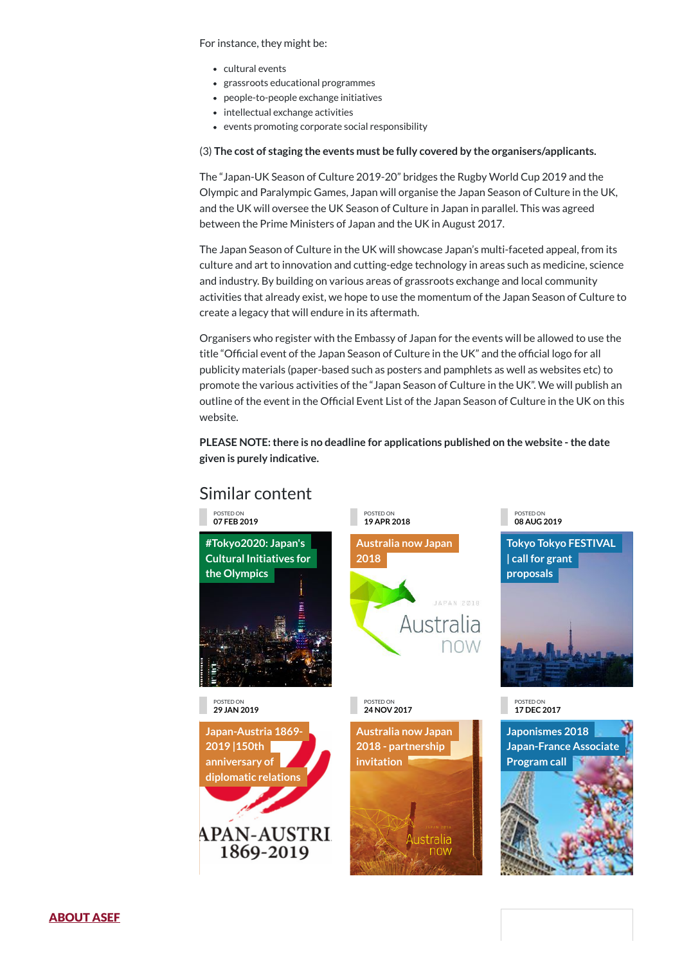## Similar content

### For instance, they might be:

- cultural events
- grassroots educational programmes
- people-to-people exchange initiatives
- intellectual exchange activities
- events promoting corporate social responsibility

### (3) **The cost of staging the events must be fully covered by the organisers/applicants.**

The "Japan-UK Season of Culture 2019-20" bridges the Rugby World Cup 2019 and the Olympic and Paralympic Games, Japan will organise the Japan Season of Culture in the UK, and the UK will oversee the UK Season of Culture in Japan in parallel. This was agreed between the Prime Ministers of Japan and the UK in August 2017.

The Japan Season of Culture in the UK will showcase Japan's multi-faceted appeal, from its culture and art to innovation and cutting-edge technology in areas such as medicine, science and industry. By building on various areas of grassroots exchange and local community activities that already exist, we hope to use the momentum of the Japan Season of Culture to create a legacy that will endure in its aftermath.

**[Japan-Austria](https://culture360.asef.org/news-events/japan-austria-1869-2019-150th-anniversary-diplomatic-relations/) 1869- 2019 |150th anniversary of diplomatic relations APAN-AUSTRI** 1869-2019

Organisers who register with the Embassy of Japan for the events will be allowed to use the title "Official event of the Japan Season of Culture in the UK" and the official logo for all publicity materials (paper-based such as posters and pamphlets as well as websites etc) to promote the various activities of the "Japan Season of Culture in the UK". We will publish an outline of the event in the Official Event List of the Japan Season of Culture in the UK on this website.

**PLEASE NOTE:there is no deadline for applications published on the website -the date given is purely indicative.**



**Australia now Japan 2018 - [partnership](https://culture360.asef.org/news-events/australia-now-japan-2018-partnership-invitation/) invitation**

ustralia

now

**Japonismes 2018 [Japan-France](https://culture360.asef.org/opportunities/japonismes-2018-japan-france-associate-program-call/) Associate Program call**